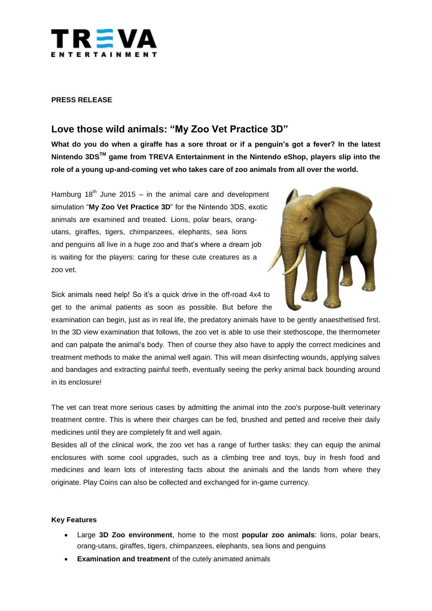

### **PRESS RELEASE**

# **Love those wild animals: "My Zoo Vet Practice 3D"**

**What do you do when a giraffe has a sore throat or if a penguin's got a fever? In the latest Nintendo 3DSTM game from TREVA Entertainment in the Nintendo eShop, players slip into the role of a young up-and-coming vet who takes care of zoo animals from all over the world.**

Hamburg  $18<sup>th</sup>$  June 2015 – in the animal care and development simulation "**My Zoo Vet Practice 3D**" for the Nintendo 3DS, exotic animals are examined and treated. Lions, polar bears, orangutans, giraffes, tigers, chimpanzees, elephants, sea lions and penguins all live in a huge zoo and that's where a dream job is waiting for the players: caring for these cute creatures as a zoo vet.



Sick animals need help! So it's a quick drive in the off-road 4x4 to get to the animal patients as soon as possible. But before the

examination can begin, just as in real life, the predatory animals have to be gently anaesthetised first. In the 3D view examination that follows, the zoo vet is able to use their stethoscope, the thermometer and can palpate the animal's body. Then of course they also have to apply the correct medicines and treatment methods to make the animal well again. This will mean disinfecting wounds, applying salves and bandages and extracting painful teeth, eventually seeing the perky animal back bounding around in its enclosure!

The vet can treat more serious cases by admitting the animal into the zoo's purpose-built veterinary treatment centre. This is where their charges can be fed, brushed and petted and receive their daily medicines until they are completely fit and well again.

Besides all of the clinical work, the zoo vet has a range of further tasks: they can equip the animal enclosures with some cool upgrades, such as a climbing tree and toys, buy in fresh food and medicines and learn lots of interesting facts about the animals and the lands from where they originate. Play Coins can also be collected and exchanged for in-game currency.

#### **Key Features**

- Large **3D Zoo environment**, home to the most **popular zoo animals**: lions, polar bears, orang-utans, giraffes, tigers, chimpanzees, elephants, sea lions and penguins
- **Examination and treatment** of the cutely animated animals